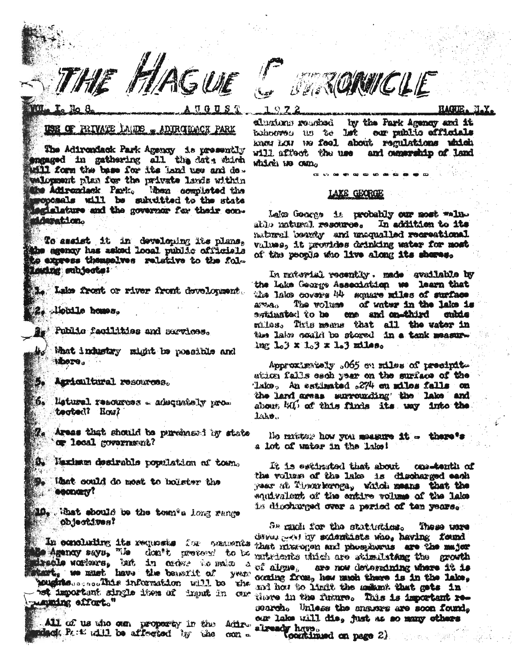THE HAGUE

# USE OF PRIVATE LAUDE - ADIROHACK PARK

The Adirendack Park Apency is presently engaged in gathering all the date shirth will form the base for its land use and do. walopment plan for the private lands within the Adirendack Park, When completed the moposals will be substitted to the state legislature and the governor for their condderetion.

To assist it in developing its plans, the agency has asked local public officials to express themselves relative to the fol-Louing subjects!

L. Lake front or river front development.

2. lobile homes.

**Be Public fecilities and services.** 

What industry might be possible and More.

Agricultural resources.

6. listurel resources - adequately protooted? How?

Te Areas that should be purshased by state or local government?

S. Haximun desirable population of town.

What could do meet to bolster the **COODURY?** 

10. What should be the town's long range OD Jectional

In concluding its requests for comments Me Agency says, "Le don't pretend to be

moughtes sessaints information will be the het important single item af draut in our manding offert."

All of us who our proporty in the Adirmack Path will be affected by the con**STRONUCLE** 

 $19.22$ 

HAGHE. N.Y.

alusions readed by the Park Agency and it behooves us to let our public officials know LOW We feel about regulations which will affect the use and ownership of land which we can

### **LAKE GEORGE**

Leke Googge is probably our nost wallatho natural resource. In addition to its Landfraces beilingan has viewed lighted. values, it provides drinking water for most of the people who live along its shores.

In raterial recently. made available by the Lake George Asseciation we learn that the lates covers till square miles of surface **APRAGO Cant Cove and P** of water in the lake is bridinated to be con and conthird mhis miles. This means that all the vator in the labo could be stored in a tank measure.  $\ln x$   $10^3$  x  $10^3$  x  $10^3$  miles.

Approximately .065 on riles of precipite ation falls each year on the surface of the 'lake, An estimated 274 en milos falls on the lard areas surrounding the lake and about MU of this finds its way into the Lake.

He matter how you measure it - there's a lot of water in the lake!

It is estimated that about cos-tonth of the vulture of the lake is discharged each year at Theorienceg, which means that the squivalent of the entire volume of the lake is discharged over a period of ten years.

Se much for the statistics. These uses denament hy sodernante who, having found that nixrogen and phosphorus are the major mutrients unich are stimulating the growth of algue, are now determing where it is occing from, hew much there is in the lake, and how to limit the mukmt that gots in tiere in the future. This is important research. Unless the snawars are soon found. our lake will die, just as so many others already have.<br>Countinued on page 2)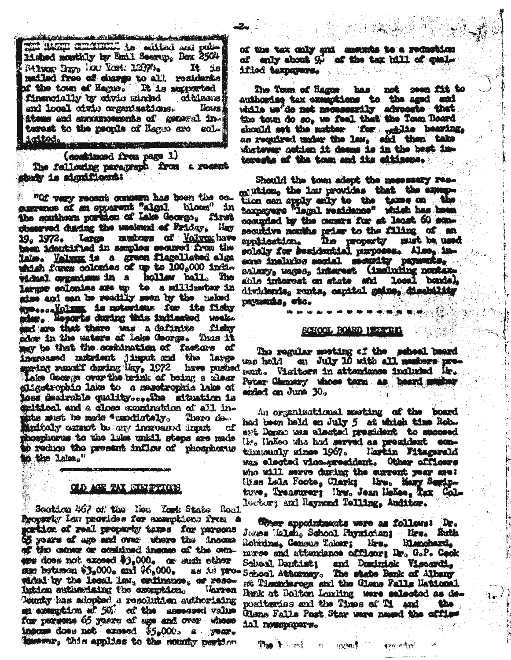<u>a dia saratra dalam makaisa hallilik lambat dia alam kaominina making</u> THE RAGE CHANGE to without and pub-14 shed monthly by Emil Seerup, Box 2504 Stings Brow Low Yest: 1287 ..  $\mathbf{R}$  is mailed free of charge to all residents **If the town of Hagus. It is supported** financially by civic marked **ditizens** and local civic organisations. llows i items and exxxmosments of general interest to the psople of Hages are sol-1xtod.

(combinued from page 1) The fallowing paragraph from a recent stanty is significant:

" "Of very recent concern has been the oc-<br>gurrence of an sparent "algal. blown" in the southern portion of Lake George, first observed during the weekend of Friday. Hay 19. 1972. Large musicars of Volvoxhave been identified in semples secured from the lako. Volmog is a gruon flagollated alga which forms colonies of up to  $100<sub>e</sub>000$  inde vidnal organisms in a hollew ball. The larmer colomies are up to a millimeter in sime and can be readily seen by the maked aymessaVolven; is notewists for its fishy ster. Reports during this indicated weekend are that there was a definite fishy odow in the waters of Leke George. Thus it may be that the combination of factors of ingroused rutrient jimout and the large spring remodif during lay, 1972 have pushed Lake George over the brink of boing a clear aligotrophic lake to a memotrophic lake of less desirable quality....The adjustion is exitical and a close examination of all inputs must be made "wandistaly. Thore da. then becomen the of formes vibring г₫ phospherus to the lake unidl steps are made supposed to antihit increase off equiper of the the lake."

## OLD AGE FAX DRESSFORCES

Socking 467 of the New York State Roal Property law provides for examptions from cartion of real property taxes for persons 65 years of age and over where the income of the caner or acuitinad income of the owners does not exceed \$3,000. or such ether sum betueen \$3,000. and \$6,000. as is pro-School Attorney. The state Bank of Albany wided by the local law, critinance, or reso-Intion autherising the exemption. Marren Tounty has adopted a resolution authorising an examption of 50, of the assessed value for persons 65 years of age and oner whose insome does not exceed \$5,000. a year. Towers this applies to the county partien

of the tex only and seemies to a reduction of enly about  $\mathcal{G}$  of the tax bill of qualified taxpayers.

The Town of Hagne has not seen fit to authoring tex examptions to the aged and while we'de not necessarily advocate that the town do so, we feel that the Town Board should set the matter 'for ... while hearing, as required under the law, and then take whatever nothen it deems is in the bast intorests of the town and its eitisens.

Should the town adopt the necessary rescolution, the last provides that the ansention can spply only to the taxes on the taxnayeye "Legal residence" which has been cocupied by the comers for at least 60 some secutive neaths prier to the filing of an application. Ine property must be used sone inalizies social security payments, salary, wages, interest (including nontanable interest on state and local bonds). dividends, ronts, capital gains, dischility payments, etc.

### SCHOOL BOARD MEETING

The regular meeting of the school beard was held on July 10 with all members present. Visitors in attendance included Mr. Peter Chmosry whose term as beard musicar ended on June 30.

An organizational masting of the board had been hald en July 5 at which time Robeat Demne was elected president to succeed live linked who had served as president con-Hartin Fitzgerald tümmudy sines 1967. was elected vico-president. Other officers who will serve during the current year are: liss Lela Foote, Clark; lire. Many Semiptuse, Treasurer; livs, Jean Mellee, Tax, Colleators and Raymond Telling. Anditor.

User appointments were as follows Dr. Jeans Ealsh, School Physician; Mrs. Euth Robitines Consus Thiese; Mrs. **Hanchard** murse and attendance officers Dr. G.P. Cook School Dantist: and Dominick Viscardi. ett Timonderoga and the Glens Falls Hational Renk at Dalton Lamling were selected as depositerias and the Times of Ti and the **the** Glans Falls Post Star ware named the office ial nouspapers.

The homes in avenue

www.t.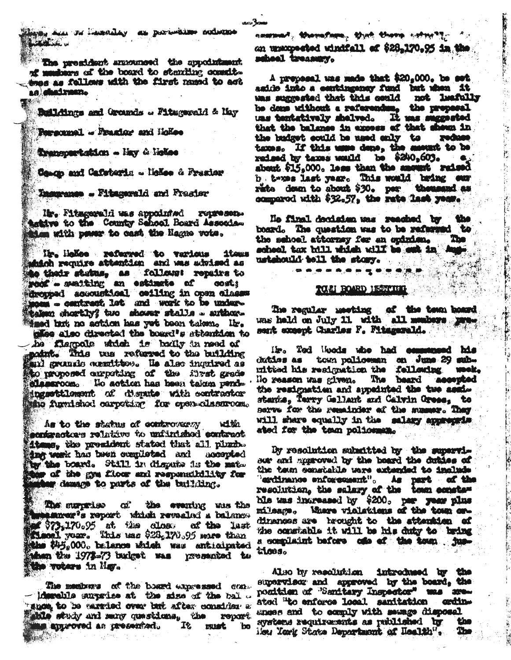ding, am su limenilay as part-sime sudmine

The president announced the appointment. of members of the board to standing complethes as follows with the first named to act an diadram. TA RE

Buildings and Grounds . Fitswareld & May

Personnel - Brasing and Hokee

Transpertation - Hay & Heles

Comop and Cafeterin - lickee & Frazier

Themeanse - Fitzgerald and Frasier

Mr. Fitsgerald was appointed rouresen. hetive to the County School Board Asseciation with peer to cash the Hagne vote.

Hr. Holloe refurred to various **1tours** ahinh require attention and was advised as to their studius, as follows: repairs to roof - swaiting an estimate of **gost:** dresped accoustical coiling in open classes moms - contract let and work to be undertaken shortly? two shower stalls - author-Masd but no action has yet been taken. Hr.

cles also directed the board's sttention to he flampole which is badly in need of maint. This was refugned to the building and grounds constitues. He also inquired as the proposed carpeting of the first grade classroom. No action has been taken pendingsettlement of disnate with contractor Mino furnished carpeting for cosm-classroom.

As to the status of controversy with sontractors relative to unfurished contract itung, the president stated that all plumb. dug work has been completed and aggenerad by the board. Still in dispute is the matthe of the gra floor and responsibility for aw demage to parts of the building.

The surprise of the evening was the mensurer's report which revealed a balance of \$73,170.95 at the close of the last of the last the \$45,000, balance which was anticipated Mann the 1972-73 budget was presented to the voters in May.

The members of the board expressed con-- idenciale surprise at the size of the ball -"show to be carried over but after consider a ahle study and many questions, the report.

naszant, Marmafiara, Mych Miero schoolly 1. an unaxpected windfall of \$28,170.95 in the school treasury.

THE R. P. LEWIS CO., LANSING MICH.

È

A prepasal was made that \$20,000, be set aside into a contingency fund but when it was suggested that this could not luafully he done without a referendum, the properal uns tentatively shelved. It was suggested that the balance in axoses of that sheen in the budget could be used only to reduce texes. If this were dene, the securit to be reduced by texes would be \$200,603. shout \$15,000. less than the amount raised b, twoes last year. This would bring our rate down to shout \$30. per thousand as compared with \$32.57, the rate last year.

No final decision was reached by the board. The question was to be referred to The the school attorney fer an opinion. scheel tex bill which will be sub in Aug. ustshould toll the story.  $-10^{11}$  and  $-10^{11}$ 

# TOM BOARD HEAVITH T

**SORAHARDS** 

The regular meeting of the team board sent except Charles F. Fitzgerald.

lir. Tod Woods who had communeed his diddes as town policemen on June 29 submitted his resignation the fellowing week, No reason was given. The beard accepted the resignation and appeinted the two assisstantie, Terry Gellant and Calvin Grees, to will share equally in the salary approximate ated for the team policeman.

By resolution substited by the supervissor and approved by the board the duties of the team constable were extended to include "erdinance enforcement". As part of the ble was increased by \$200. per year plus mileague Mhare vialations of the town ondinances are brought to the attention of the constable it will be his duty to bring a complisint before one of the town justions.

Also by resolution introduced by the supervisor and approved by the board, the ponition of "Sanitary Inspector" was areated "to enforce local sanitation crdinanses and to comply with searce disposal aystems requirements as published by the Meu Yerk State Department of Health". The